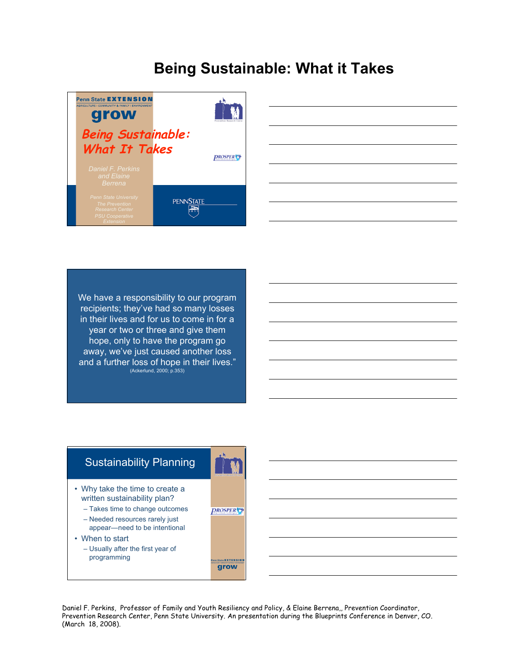

| $\frac{1}{2} \left( \frac{1}{2} \right) \left( \frac{1}{2} \right) \left( \frac{1}{2} \right) \left( \frac{1}{2} \right) \left( \frac{1}{2} \right) \left( \frac{1}{2} \right) \left( \frac{1}{2} \right) \left( \frac{1}{2} \right) \left( \frac{1}{2} \right) \left( \frac{1}{2} \right) \left( \frac{1}{2} \right) \left( \frac{1}{2} \right) \left( \frac{1}{2} \right) \left( \frac{1}{2} \right) \left( \frac{1}{2} \right) \left( \frac{1}{2} \right) \left( \frac$ | ,我们也不会有什么?""我们的人,我们也不会有什么?""我们的人,我们也不会有什么?""我们的人,我们也不会有什么?""我们的人,我们也不会有什么?""我们的人 |  |  | the control of the control of the |
|----------------------------------------------------------------------------------------------------------------------------------------------------------------------------------------------------------------------------------------------------------------------------------------------------------------------------------------------------------------------------------------------------------------------------------------------------------------------------|----------------------------------------------------------------------------------|--|--|-----------------------------------|
|                                                                                                                                                                                                                                                                                                                                                                                                                                                                            |                                                                                  |  |  |                                   |
|                                                                                                                                                                                                                                                                                                                                                                                                                                                                            |                                                                                  |  |  |                                   |
|                                                                                                                                                                                                                                                                                                                                                                                                                                                                            |                                                                                  |  |  |                                   |
|                                                                                                                                                                                                                                                                                                                                                                                                                                                                            |                                                                                  |  |  |                                   |
|                                                                                                                                                                                                                                                                                                                                                                                                                                                                            |                                                                                  |  |  |                                   |
|                                                                                                                                                                                                                                                                                                                                                                                                                                                                            |                                                                                  |  |  |                                   |
|                                                                                                                                                                                                                                                                                                                                                                                                                                                                            |                                                                                  |  |  |                                   |
|                                                                                                                                                                                                                                                                                                                                                                                                                                                                            |                                                                                  |  |  |                                   |
|                                                                                                                                                                                                                                                                                                                                                                                                                                                                            |                                                                                  |  |  |                                   |
|                                                                                                                                                                                                                                                                                                                                                                                                                                                                            |                                                                                  |  |  |                                   |
|                                                                                                                                                                                                                                                                                                                                                                                                                                                                            |                                                                                  |  |  |                                   |
|                                                                                                                                                                                                                                                                                                                                                                                                                                                                            |                                                                                  |  |  |                                   |
|                                                                                                                                                                                                                                                                                                                                                                                                                                                                            |                                                                                  |  |  |                                   |
|                                                                                                                                                                                                                                                                                                                                                                                                                                                                            |                                                                                  |  |  |                                   |
|                                                                                                                                                                                                                                                                                                                                                                                                                                                                            |                                                                                  |  |  |                                   |
|                                                                                                                                                                                                                                                                                                                                                                                                                                                                            |                                                                                  |  |  |                                   |

We have a responsibility to our program recipients; they've had so many losses in their lives and for us to come in for a year or two or three and give them hope, only to have the program go away, we've just caused another loss and a further loss of hope in their lives." (Ackerlund, 2000; p.353)

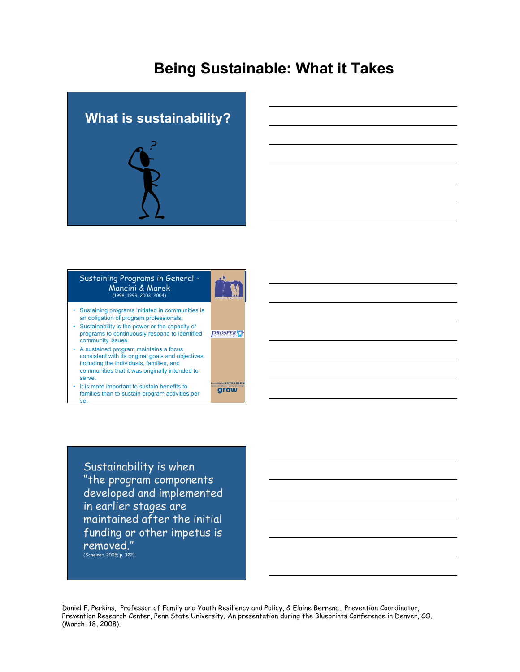



#### Sustaining Programs in General - Mancini & Marek (1998, 1999, 2003, 2004)

- Sustaining programs initiated in communities is an obligation of program professionals.
- Sustainability is the power or the capacity of programs to continuously respond to identified
- community issues. • A sustained program maintains a focus consistent with its original goals and objectives, including the individuals, families, and communities that it was originally intended to serve.
- It is more important to sustain benefits to families than to sustain program activities per se.

Sustainability is when "the program components developed and implemented in earlier stages are maintained after the initial funding or other impetus is removed." (Scheirer, 2005; p. 322)

Daniel F. Perkins, Professor of Family and Youth Resiliency and Policy, & Elaine Berrena,, Prevention Coordinator, Prevention Research Center, Penn State University. An presentation during the Blueprints Conference in Denver, CO. (March 18, 2008).

**PROSPER** 

State **EXTENSION** grow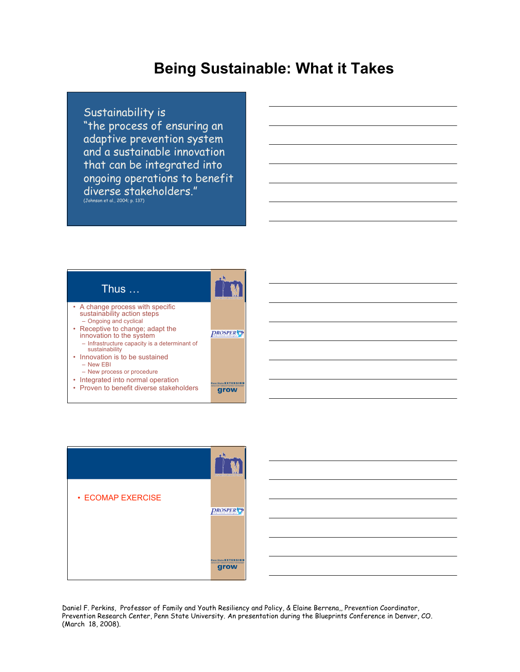#### Sustainability is

"the process of ensuring an adaptive prevention system and a sustainable innovation that can be integrated into ongoing operations to benefit diverse stakeholders." (Johnson et al., 2004; p. 137)





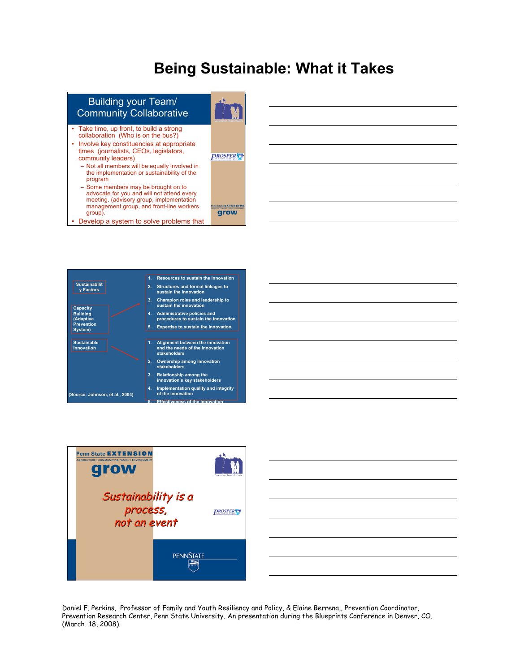

• Develop a system to solve problems that









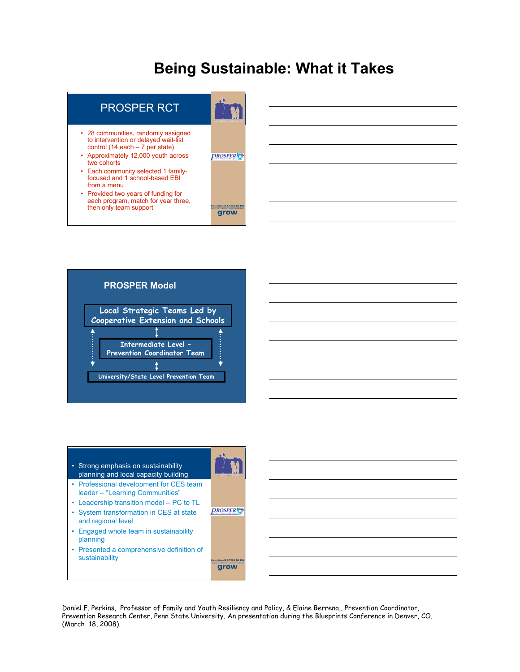



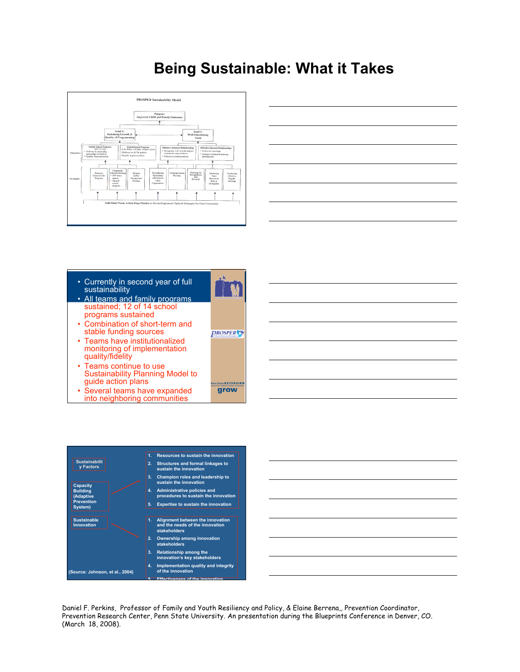



- Currently in second year of full sustainability
- All teams and family programs sustained; 12 of 14 school programs sustained
- Combination of short-term and stable funding sources
- Teams have institutionalized monitoring of implementation quality/fidelity
- Teams continue to use Sustainability Planning Model to guide action plans
- Several teams have expanded into neighboring communities



ate **EXTENSIO** grow



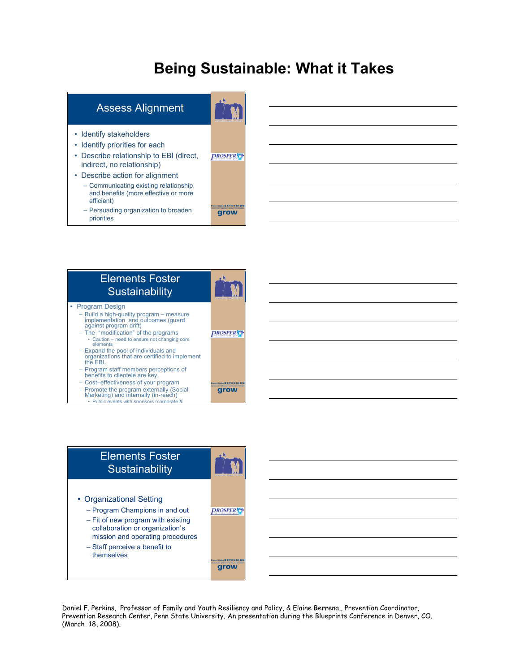



#### Elements Foster **Sustainability** • Program Design – Build <sup>a</sup> high-quality program – measure implementation and outcomes (guard against program drift) – The "modification" of the programs *DROSPER* • Caution – need to ensure not changing core elements – Expand the pool of individuals and<br>organizations that are certified to implement<br>the EBI. – Program staff members perceptions of benefits to clientele are key. – Cost–effectiveness of your program te **EXTENSIO** grow – Promote the program externally (Social Marketing) and internally (in-reach) • Public events with sponsors (corporate &